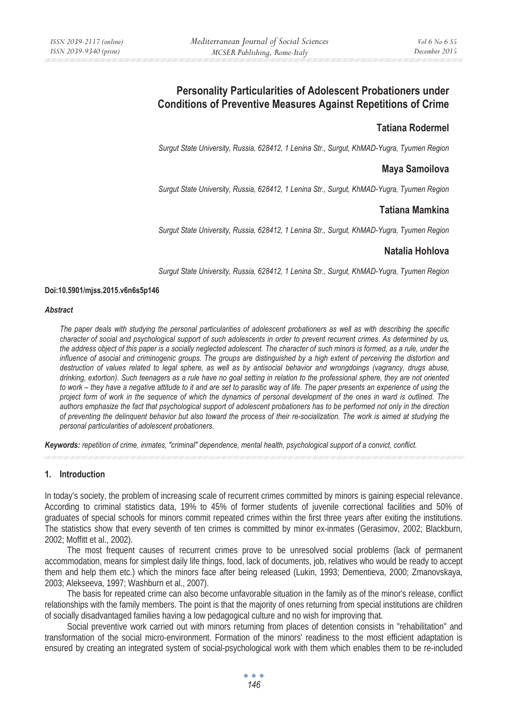# **Personality Particularities of Adolescent Probationers under Conditions of Preventive Measures Against Repetitions of Crime**

## **Tatiana Rodermel**

*Surgut State University, Russia, 628412, 1 Lenina Str., Surgut, KhMAD-Yugra, Tyumen Region* 

### **Maya Samoilova**

*Surgut State University, Russia, 628412, 1 Lenina Str., Surgut, KhMAD-Yugra, Tyumen Region* 

## **Tatiana Mamkina**

*Surgut State University, Russia, 628412, 1 Lenina Str., Surgut, KhMAD-Yugra, Tyumen Region* 

## **Natalia Hohlova**

*Surgut State University, Russia, 628412, 1 Lenina Str., Surgut, KhMAD-Yugra, Tyumen Region* 

#### **Doi:10.5901/mjss.2015.v6n6s5p146**

#### *Abstract*

*The paper deals with studying the personal particularities of adolescent probationers as well as with describing the specific character of social and psychological support of such adolescents in order to prevent recurrent crimes. As determined by us, the address object of this paper is a socially neglected adolescent. The character of such minors is formed, as a rule, under the influence of asocial and criminogenic groups. The groups are distinguished by a high extent of perceiving the distortion and destruction of values related to legal sphere, as well as by antisocial behavior and wrongdoings (vagrancy, drugs abuse, drinking, extortion). Such teenagers as a rule have no goal setting in relation to the professional sphere, they are not oriented to work – they have a negative attitude to it and are set to parasitic way of life. The paper presents an experience of using the project form of work in the sequence of which the dynamics of personal development of the ones in ward is outlined. The authors emphasize the fact that psychological support of adolescent probationers has to be performed not only in the direction of preventing the delinquent behavior but also toward the process of their re-socialization. The work is aimed at studying the personal particularities of adolescent probationers.* 

*Keywords: repetition of crime, inmates, "criminal" dependence, mental health, psychological support of a convict, conflict.*

#### **1. Introduction**

In today's society, the problem of increasing scale of recurrent crimes committed by minors is gaining especial relevance. According to criminal statistics data, 19% to 45% of former students of juvenile correctional facilities and 50% of graduates of special schools for minors commit repeated crimes within the first three years after exiting the institutions. The statistics show that every seventh of ten crimes is committed by minor ex-inmates (Gerasimov, 2002; Blackburn, 2002; Moffitt et al., 2002).

The most frequent causes of recurrent crimes prove to be unresolved social problems (lack of permanent accommodation, means for simplest daily life things, food, lack of documents, job, relatives who would be ready to accept them and help them etc.) which the minors face after being released (Lukin, 1993; Dementieva, 2000; Zmanovskaya, 2003; Alekseeva, 1997; Washburn et al., 2007).

The basis for repeated crime can also become unfavorable situation in the family as of the minor's release, conflict relationships with the family members. The point is that the majority of ones returning from special institutions are children of socially disadvantaged families having a low pedagogical culture and no wish for improving that.

Social preventive work carried out with minors returning from places of detention consists in "rehabilitation" and transformation of the social micro-environment. Formation of the minors' readiness to the most efficient adaptation is ensured by creating an integrated system of social-psychological work with them which enables them to be re-included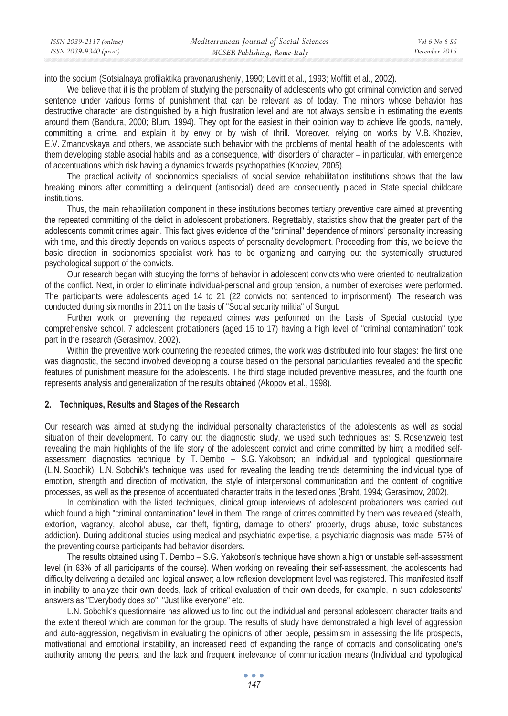| ISSN 2039-2117 (online) | Mediterranean Journal of Social Sciences | Vol 6 No 6 S5 |
|-------------------------|------------------------------------------|---------------|
| ISSN 2039-9340 (print)  | MCSER Publishing, Rome-Italy             | December 2015 |

into the socium (Sotsialnaya profilaktika pravonarusheniy, 1990; Levitt et al., 1993; Moffitt et al., 2002).

We believe that it is the problem of studying the personality of adolescents who got criminal conviction and served sentence under various forms of punishment that can be relevant as of today. The minors whose behavior has destructive character are distinguished by a high frustration level and are not always sensible in estimating the events around them (Bandura, 2000; Blum, 1994). They opt for the easiest in their opinion way to achieve life goods, namely, committing a crime, and explain it by envy or by wish of thrill. Moreover, relying on works by V.B. Khoziev, E.V. Zmanovskaya and others, we associate such behavior with the problems of mental health of the adolescents, with them developing stable asocial habits and, as a consequence, with disorders of character – in particular, with emergence of accentuations which risk having a dynamics towards psychopathies (Khoziev, 2005).

The practical activity of socionomics specialists of social service rehabilitation institutions shows that the law breaking minors after committing a delinquent (antisocial) deed are consequently placed in State special childcare institutions.

Thus, the main rehabilitation component in these institutions becomes tertiary preventive care aimed at preventing the repeated committing of the delict in adolescent probationers. Regrettably, statistics show that the greater part of the adolescents commit crimes again. This fact gives evidence of the "criminal" dependence of minors' personality increasing with time, and this directly depends on various aspects of personality development. Proceeding from this, we believe the basic direction in socionomics specialist work has to be organizing and carrying out the systemically structured psychological support of the convicts.

Our research began with studying the forms of behavior in adolescent convicts who were oriented to neutralization of the conflict. Next, in order to eliminate individual-personal and group tension, a number of exercises were performed. The participants were adolescents aged 14 to 21 (22 convicts not sentenced to imprisonment). The research was conducted during six months in 2011 on the basis of "Social security militia" of Surgut.

Further work on preventing the repeated crimes was performed on the basis of Special custodial type comprehensive school. 7 adolescent probationers (aged 15 to 17) having a high level of "criminal contamination" took part in the research (Gerasimov, 2002).

Within the preventive work countering the repeated crimes, the work was distributed into four stages: the first one was diagnostic, the second involved developing a course based on the personal particularities revealed and the specific features of punishment measure for the adolescents. The third stage included preventive measures, and the fourth one represents analysis and generalization of the results obtained (Akopov et al., 1998).

#### **2. Techniques, Results and Stages of the Research**

Our research was aimed at studying the individual personality characteristics of the adolescents as well as social situation of their development. To carry out the diagnostic study, we used such techniques as: S. Rosenzweig test revealing the main highlights of the life story of the adolescent convict and crime committed by him; a modified selfassessment diagnostics technique by T. Dembo – S.G. Yakobson; an individual and typological questionnaire (L.N. Sobchik). L.N. Sobchik's technique was used for revealing the leading trends determining the individual type of emotion, strength and direction of motivation, the style of interpersonal communication and the content of cognitive processes, as well as the presence of accentuated character traits in the tested ones (Braht, 1994; Gerasimov, 2002).

In combination with the listed techniques, clinical group interviews of adolescent probationers was carried out which found a high "criminal contamination" level in them. The range of crimes committed by them was revealed (stealth, extortion, vagrancy, alcohol abuse, car theft, fighting, damage to others' property, drugs abuse, toxic substances addiction). During additional studies using medical and psychiatric expertise, a psychiatric diagnosis was made: 57% of the preventing course participants had behavior disorders.

The results obtained using T. Dembo – S.G. Yakobson's technique have shown a high or unstable self-assessment level (in 63% of all participants of the course). When working on revealing their self-assessment, the adolescents had difficulty delivering a detailed and logical answer; a low reflexion development level was registered. This manifested itself in inability to analyze their own deeds, lack of critical evaluation of their own deeds, for example, in such adolescents' answers as "Everybody does so", "Just like everyone" etc.

L.N. Sobchik's questionnaire has allowed us to find out the individual and personal adolescent character traits and the extent thereof which are common for the group. The results of study have demonstrated a high level of aggression and auto-aggression, negativism in evaluating the opinions of other people, pessimism in assessing the life prospects, motivational and emotional instability, an increased need of expanding the range of contacts and consolidating one's authority among the peers, and the lack and frequent irrelevance of communication means (Individual and typological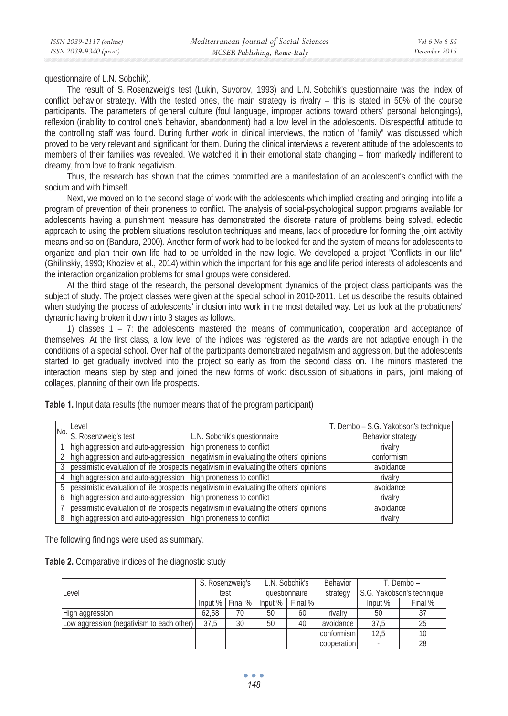questionnaire of L.N. Sobchik).

The result of S. Rosenzweig's test (Lukin, Suvorov, 1993) and L.N. Sobchik's questionnaire was the index of conflict behavior strategy. With the tested ones, the main strategy is rivalry – this is stated in 50% of the course participants. The parameters of general culture (foul language, improper actions toward others' personal belongings), reflexion (inability to control one's behavior, abandonment) had a low level in the adolescents. Disrespectful attitude to the controlling staff was found. During further work in clinical interviews, the notion of "family" was discussed which proved to be very relevant and significant for them. During the clinical interviews a reverent attitude of the adolescents to members of their families was revealed. We watched it in their emotional state changing – from markedly indifferent to dreamy, from love to frank negativism.

Thus, the research has shown that the crimes committed are a manifestation of an adolescent's conflict with the socium and with himself.

Next, we moved on to the second stage of work with the adolescents which implied creating and bringing into life a program of prevention of their proneness to conflict. The analysis of social-psychological support programs available for adolescents having a punishment measure has demonstrated the discrete nature of problems being solved, eclectic approach to using the problem situations resolution techniques and means, lack of procedure for forming the joint activity means and so on (Bandura, 2000). Another form of work had to be looked for and the system of means for adolescents to organize and plan their own life had to be unfolded in the new logic. We developed a project "Conflicts in our life" (Ghilinskiy, 1993; Khoziev et al., 2014) within which the important for this age and life period interests of adolescents and the interaction organization problems for small groups were considered.

At the third stage of the research, the personal development dynamics of the project class participants was the subject of study. The project classes were given at the special school in 2010-2011. Let us describe the results obtained when studying the process of adolescents' inclusion into work in the most detailed way. Let us look at the probationers' dynamic having broken it down into 3 stages as follows.

1) classes 1 – 7: the adolescents mastered the means of communication, cooperation and acceptance of themselves. At the first class, a low level of the indices was registered as the wards are not adaptive enough in the conditions of a special school. Over half of the participants demonstrated negativism and aggression, but the adolescents started to get gradually involved into the project so early as from the second class on. The minors mastered the interaction means step by step and joined the new forms of work: discussion of situations in pairs, joint making of collages, planning of their own life prospects.

|   | Level                                                          |                                                                                        | T. Dembo - S.G. Yakobson's technique |
|---|----------------------------------------------------------------|----------------------------------------------------------------------------------------|--------------------------------------|
|   | No. <b>S. Rosenzweig's test</b>                                | L.N. Sobchik's questionnaire                                                           | Behavior strategy                    |
|   | high aggression and auto-aggression high proneness to conflict |                                                                                        | rivalry                              |
|   | high aggression and auto-aggression                            | negativism in evaluating the others' opinions                                          | conformism                           |
|   |                                                                | pessimistic evaluation of life prospects negativism in evaluating the others' opinions | avoidance                            |
|   | high aggression and auto-aggression high proneness to conflict |                                                                                        | rivalry                              |
|   |                                                                | pessimistic evaluation of life prospects negativism in evaluating the others' opinions | avoidance                            |
| 6 | high aggression and auto-aggression high proneness to conflict |                                                                                        | rivalry                              |
|   |                                                                | pessimistic evaluation of life prospects negativism in evaluating the others' opinions | avoidance                            |
| 8 | high aggression and auto-aggression high proneness to conflict |                                                                                        | rivalry                              |

**Table 1.** Input data results (the number means that of the program participant)

The following findings were used as summary.

**Table 2.** Comparative indices of the diagnostic study

|                                           | S. Rosenzweig's<br>test |                       | L.N. Sobchik's<br>questionnaire |                       | Behavior<br>T. Dembo – |                             |         |
|-------------------------------------------|-------------------------|-----------------------|---------------------------------|-----------------------|------------------------|-----------------------------|---------|
| Level                                     |                         |                       |                                 |                       | strategy               | S.G. Yakobson's technique I |         |
|                                           |                         | Input $%$ Final $%$ F |                                 | Input $%$   Final $%$ |                        | Input %                     | Final % |
| High aggression                           | 62.58                   | 70                    | 50                              | 60                    | rivalry                | 50                          | 37      |
| Low aggression (negativism to each other) | 37.5                    | 30                    | 50                              | 40                    | avoidance              | 37,5                        | 25      |
|                                           |                         |                       |                                 |                       | conformism             | 12,5                        | 10      |
|                                           |                         |                       |                                 |                       | cooperation            |                             | 28      |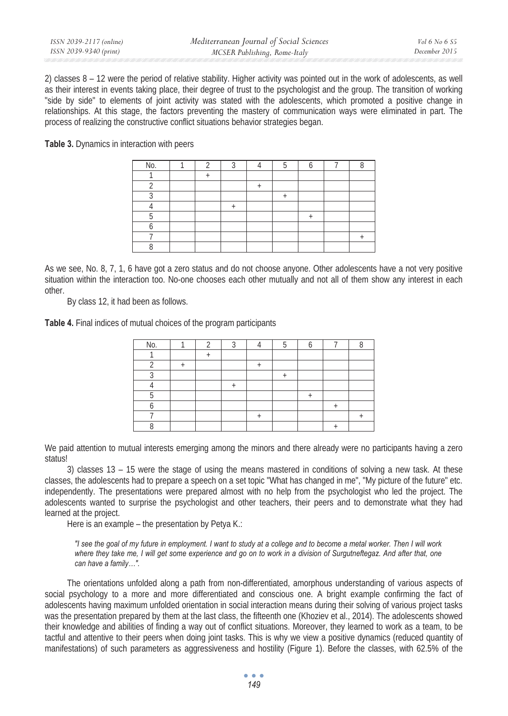| ISSN 2039-2117 (online) | Mediterranean Journal of Social Sciences | Vol 6 No 6 S5 |
|-------------------------|------------------------------------------|---------------|
| ISSN 2039-9340 (print)  | MCSER Publishing, Rome-Italy             | December 2015 |

2) classes  $8 - 12$  were the period of relative stability. Higher activity was pointed out in the work of adolescents, as well as their interest in events taking place, their degree of trust to the psychologist and the group. The transition of working "side by side" to elements of joint activity was stated with the adolescents, which promoted a positive change in relationships. At this stage, the factors preventing the mastery of communication ways were eliminated in part. The process of realizing the constructive conflict situations behavior strategies began.

**Table 3.** Dynamics in interaction with peers

| No. |  |  |  |  |
|-----|--|--|--|--|
|     |  |  |  |  |
|     |  |  |  |  |
|     |  |  |  |  |
|     |  |  |  |  |
|     |  |  |  |  |
|     |  |  |  |  |
|     |  |  |  |  |
|     |  |  |  |  |

As we see, No. 8, 7, 1, 6 have got a zero status and do not choose anyone. Other adolescents have a not very positive situation within the interaction too. No-one chooses each other mutually and not all of them show any interest in each other.

By class 12, it had been as follows.

**Table 4.** Final indices of mutual choices of the program participants

| No. |  |  |  |  |
|-----|--|--|--|--|
|     |  |  |  |  |
|     |  |  |  |  |
|     |  |  |  |  |
|     |  |  |  |  |
|     |  |  |  |  |
|     |  |  |  |  |
|     |  |  |  |  |
|     |  |  |  |  |

We paid attention to mutual interests emerging among the minors and there already were no participants having a zero status!

3) classes 13 – 15 were the stage of using the means mastered in conditions of solving a new task. At these classes, the adolescents had to prepare a speech on a set topic "What has changed in me", "My picture of the future" etc. independently. The presentations were prepared almost with no help from the psychologist who led the project. The adolescents wanted to surprise the psychologist and other teachers, their peers and to demonstrate what they had learned at the project.

Here is an example – the presentation by Petya K.:

*"I see the goal of my future in employment. I want to study at a college and to become a metal worker. Then I will work where they take me, I will get some experience and go on to work in a division of Surgutneftegaz. And after that, one can have a family…".* 

The orientations unfolded along a path from non-differentiated, amorphous understanding of various aspects of social psychology to a more and more differentiated and conscious one. A bright example confirming the fact of adolescents having maximum unfolded orientation in social interaction means during their solving of various project tasks was the presentation prepared by them at the last class, the fifteenth one (Khoziev et al., 2014). The adolescents showed their knowledge and abilities of finding a way out of conflict situations. Moreover, they learned to work as a team, to be tactful and attentive to their peers when doing joint tasks. This is why we view a positive dynamics (reduced quantity of manifestations) of such parameters as aggressiveness and hostility (Figure 1). Before the classes, with 62.5% of the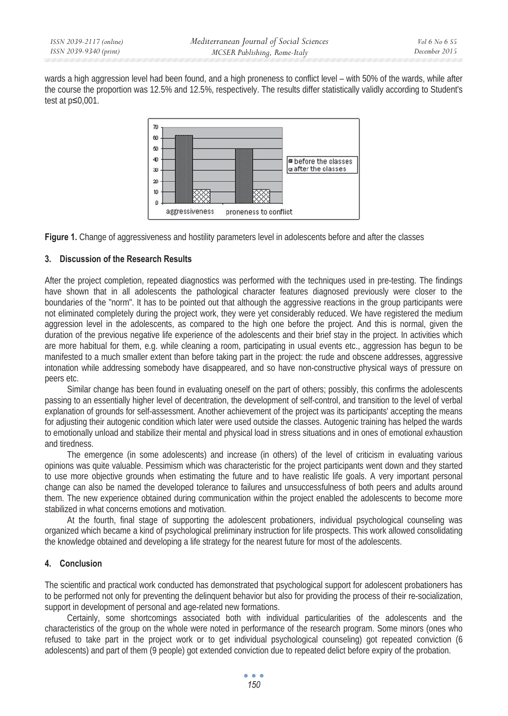wards a high aggression level had been found, and a high proneness to conflict level – with 50% of the wards, while after the course the proportion was 12.5% and 12.5%, respectively. The results differ statistically validly according to Student's test at  $p \leq 0,001$ .



**Figure 1.** Change of aggressiveness and hostility parameters level in adolescents before and after the classes

## **3. Discussion of the Research Results**

After the project completion, repeated diagnostics was performed with the techniques used in pre-testing. The findings have shown that in all adolescents the pathological character features diagnosed previously were closer to the boundaries of the "norm". It has to be pointed out that although the aggressive reactions in the group participants were not eliminated completely during the project work, they were yet considerably reduced. We have registered the medium aggression level in the adolescents, as compared to the high one before the project. And this is normal, given the duration of the previous negative life experience of the adolescents and their brief stay in the project. In activities which are more habitual for them, e.g. while cleaning a room, participating in usual events etc., aggression has begun to be manifested to a much smaller extent than before taking part in the project: the rude and obscene addresses, aggressive intonation while addressing somebody have disappeared, and so have non-constructive physical ways of pressure on peers etc.

Similar change has been found in evaluating oneself on the part of others; possibly, this confirms the adolescents passing to an essentially higher level of decentration, the development of self-control, and transition to the level of verbal explanation of grounds for self-assessment. Another achievement of the project was its participants' accepting the means for adjusting their autogenic condition which later were used outside the classes. Autogenic training has helped the wards to emotionally unload and stabilize their mental and physical load in stress situations and in ones of emotional exhaustion and tiredness.

The emergence (in some adolescents) and increase (in others) of the level of criticism in evaluating various opinions was quite valuable. Pessimism which was characteristic for the project participants went down and they started to use more objective grounds when estimating the future and to have realistic life goals. A very important personal change can also be named the developed tolerance to failures and unsuccessfulness of both peers and adults around them. The new experience obtained during communication within the project enabled the adolescents to become more stabilized in what concerns emotions and motivation.

At the fourth, final stage of supporting the adolescent probationers, individual psychological counseling was organized which became a kind of psychological preliminary instruction for life prospects. This work allowed consolidating the knowledge obtained and developing a life strategy for the nearest future for most of the adolescents.

## **4. Conclusion**

The scientific and practical work conducted has demonstrated that psychological support for adolescent probationers has to be performed not only for preventing the delinquent behavior but also for providing the process of their re-socialization, support in development of personal and age-related new formations.

Certainly, some shortcomings associated both with individual particularities of the adolescents and the characteristics of the group on the whole were noted in performance of the research program. Some minors (ones who refused to take part in the project work or to get individual psychological counseling) got repeated conviction (6 adolescents) and part of them (9 people) got extended conviction due to repeated delict before expiry of the probation.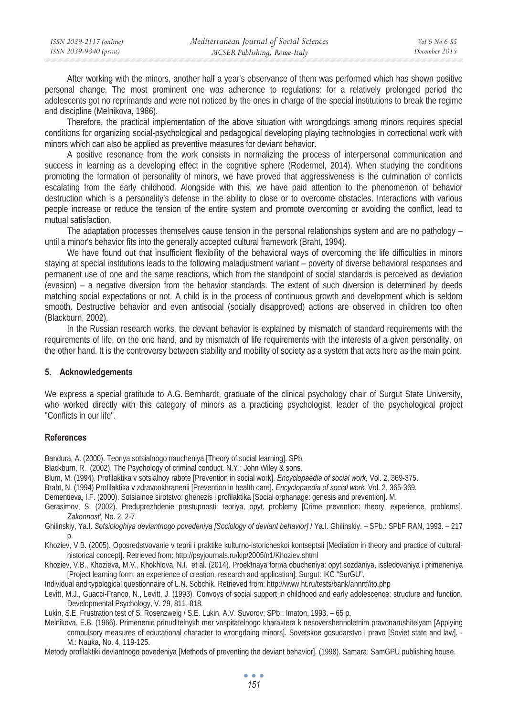| ISSN 2039-2117 (online) | Mediterranean Journal of Social Sciences | Vol 6 No 6 S5 |
|-------------------------|------------------------------------------|---------------|
| ISSN 2039-9340 (print)  | MCSER Publishing, Rome-Italy             | December 2015 |

After working with the minors, another half a year's observance of them was performed which has shown positive personal change. The most prominent one was adherence to regulations: for a relatively prolonged period the adolescents got no reprimands and were not noticed by the ones in charge of the special institutions to break the regime and discipline (Melnikova, 1966).

Therefore, the practical implementation of the above situation with wrongdoings among minors requires special conditions for organizing social-psychological and pedagogical developing playing technologies in correctional work with minors which can also be applied as preventive measures for deviant behavior.

A positive resonance from the work consists in normalizing the process of interpersonal communication and success in learning as a developing effect in the cognitive sphere (Rodermel, 2014). When studying the conditions promoting the formation of personality of minors, we have proved that aggressiveness is the culmination of conflicts escalating from the early childhood. Alongside with this, we have paid attention to the phenomenon of behavior destruction which is a personality's defense in the ability to close or to overcome obstacles. Interactions with various people increase or reduce the tension of the entire system and promote overcoming or avoiding the conflict, lead to mutual satisfaction.

The adaptation processes themselves cause tension in the personal relationships system and are no pathology – until a minor's behavior fits into the generally accepted cultural framework (Braht, 1994).

We have found out that insufficient flexibility of the behavioral ways of overcoming the life difficulties in minors staying at special institutions leads to the following maladjustment variant – poverty of diverse behavioral responses and permanent use of one and the same reactions, which from the standpoint of social standards is perceived as deviation (evasion) – a negative diversion from the behavior standards. The extent of such diversion is determined by deeds matching social expectations or not. A child is in the process of continuous growth and development which is seldom smooth. Destructive behavior and even antisocial (socially disapproved) actions are observed in children too often (Blackburn, 2002).

In the Russian research works, the deviant behavior is explained by mismatch of standard requirements with the requirements of life, on the one hand, and by mismatch of life requirements with the interests of a given personality, on the other hand. It is the controversy between stability and mobility of society as a system that acts here as the main point.

#### **5. Acknowledgements**

We express a special gratitude to A.G. Bernhardt, graduate of the clinical psychology chair of Surgut State University, who worked directly with this category of minors as a practicing psychologist, leader of the psychological project "Conflicts in our life".

#### **References**

Bandura, A. (2000). Teoriya sotsialnogo naucheniya [Theory of social learning]. SPb.

- Blackburn, R. (2002). The Psychology of criminal conduct. N.Y.: John Wiley & sons.
- Blum, M. (1994). Profilaktika v sotsialnoy rabote [Prevention in social work]. *Encyclopaedia of social work,* Vol. 2, 369-375.
- Braht, N. (1994) Profilaktika v zdravookhranenii [Prevention in health care]. *Encyclopaedia of social work,* Vol. 2, 365-369.
- Dementieva, I.F. (2000). Sotsialnoe sirotstvo: ghenezis i profilaktika [Social orphanage: genesis and prevention]. M.
- Gerasimov, S. (2002). Preduprezhdenie prestupnosti: teoriya, opyt, problemy [Crime prevention: theory, experience, problems]. *Zakonnost'*, No. 2, 2-7.
- Ghilinskiy, Ya.I. *Sotsiologhiya deviantnogo povedeniya [Sociology of deviant behavior]* / Ya.I. Ghilinskiy. SPb.: SPbF RAN, 1993. 217  $\mathsf{D}$ .
- Khoziev, V.B. (2005). Oposredstvovanie v teorii i praktike kulturno-istoricheskoi kontseptsii [Mediation in theory and practice of culturalhistorical concept]. Retrieved from: http://psyjournals.ru/kip/2005/n1/Khoziev.shtml
- Khoziev, V.B., Khozieva, M.V., Khokhlova, N.I. et al. (2014). Proektnaya forma obucheniya: opyt sozdaniya, issledovaniya i primeneniya [Project learning form: an experience of creation, research and application]. Surgut: IKC "SurGU".

Individual and typological questionnaire of L.N. Sobchik. Retrieved from: http://www.ht.ru/tests/bank/annrtf/ito.php

Levitt, M.J., Guacci-Franco, N., Levitt, J. (1993). Convoys of social support in childhood and early adolescence: structure and function. Developmental Psychology, V. 29, 811–818.

Lukin, S.E. Frustration test of S. Rosenzweig / S.E. Lukin, A.V. Suvorov; SPb.: Imaton, 1993. – 65 p.

Melnikova, E.B. (1966). Primenenie prinuditelnykh mer vospitatelnogo kharaktera k nesovershennoletnim pravonarushitelyam [Applying compulsory measures of educational character to wrongdoing minors]. Sovetskoe gosudarstvo i pravo [Soviet state and law]. -M.: Nauka, No. 4, 119-125.

Metody profilaktiki deviantnogo povedeniya [Methods of preventing the deviant behavior]. (1998). Samara: SamGPU publishing house.